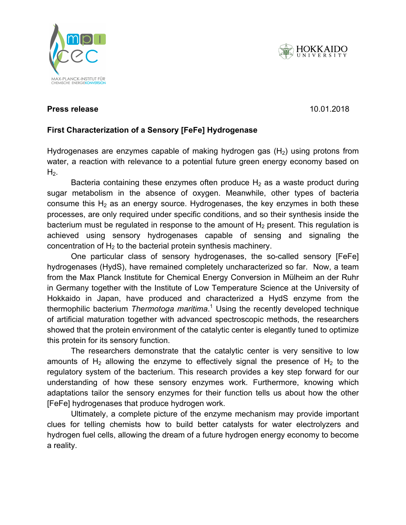





# **Press release** 2017 2018 2017 2018

## Firet Charactor  $\boldsymbol{\mathsf{First}}$  Characterization of a Sensory **[FeFe] Hydrogenase**

**Biocatalysts are large protein molecules. The actual reaction takes place only at a**  Hydrogenases are enzymes capable of making hydrogen gas (H<sub>2</sub>) using protons from The interaction of protein shell and active centre in hydrogen-producing enzymes is  $\mathcal{L}$  $\mathbf{r}_2$ . A team from Ruhr-Universität Bochum and the effects. A team from Ruhr-Universität Bochum and the effects Bochum and the effects Bochum and the effects Bochum and the effects Bochum and the effects Bochum and th water, a reaction with relevance to a potential future green energy economy based on  $H<sub>2</sub>$ .

Bacteria containing these enzymes often produce  $H_2$  as a waste product during  $s$  specifical distribution bonds in certain enzymes from produce  $s_{12}$  are, sugar metabolism in the absence of oxygen. Meanwhile, other types of bacteria consume this  $H_2$  as an energy source. Hydrogenases, the key enzymes in both these processes, are only required under specific conditions, and so their synthesis inside the  $\mathbf{b}$  at also given by a provided research in power appention  $\mathbf{f}$  the development of  $\mathbf{f}$ bacterium must be regulated in response to the amount of  $H_2$  present. This regulation is achieved using sensory hydrogenases capable of sensing and signaling the concentration of H<sub>2</sub> to the bacterial protein synthesis machinery.

One particular class of sensory hydrogenases, the so-called sensory [FeFe] hydrogenases (HydS), have remained completely uncharacterized so far. Now, a team the May Planck Institute for Chamical Energy Conversion is from the Max Planck Institute for Chemical Energy Conversion in Mülheim an der Ruhr in Germany together with the Institute of Low Temperature Science at the University of biocatalysts ever", explains Prof Dr Thomas Happe, head of the working group Hokkaido in Japan, have produced and characterized a HydS enzyme from the thermophilic bacterium *Thermotoga maritima*.<sup>1</sup> Using the recently developed technique of artificial maturation together with advanced spectroscopic methods, the researchers showed that the protein environment of the established protein shell showed that the protein environment of the catalytic center is elegantly tuned to optimize this protein for its sensory function.

adaptations tailor the<sup>2</sup>sensory enzy<del>mes for th</del>eir function tells us about how the other The researchers demonstrate that the catalytic center is very sensitive to low amounts of H<sub>2</sub> allowing the enzyme to effectively signal the presence of H<sub>2</sub> to the regulatory system of the bacterium. This research provides a key step forward for our understanding of how these sensory enzymes work. Furthermore, knowing which [FeFe] hydrogenases that produce hydrogen work.

Ultimately, a complete picture of the enzyme mechanism may provide important clues for telling chemists how to build better catalysts for water electrolyzers and hydrogen fuel cells, allowing the dream of a future hydrogen energy economy to become a reality.